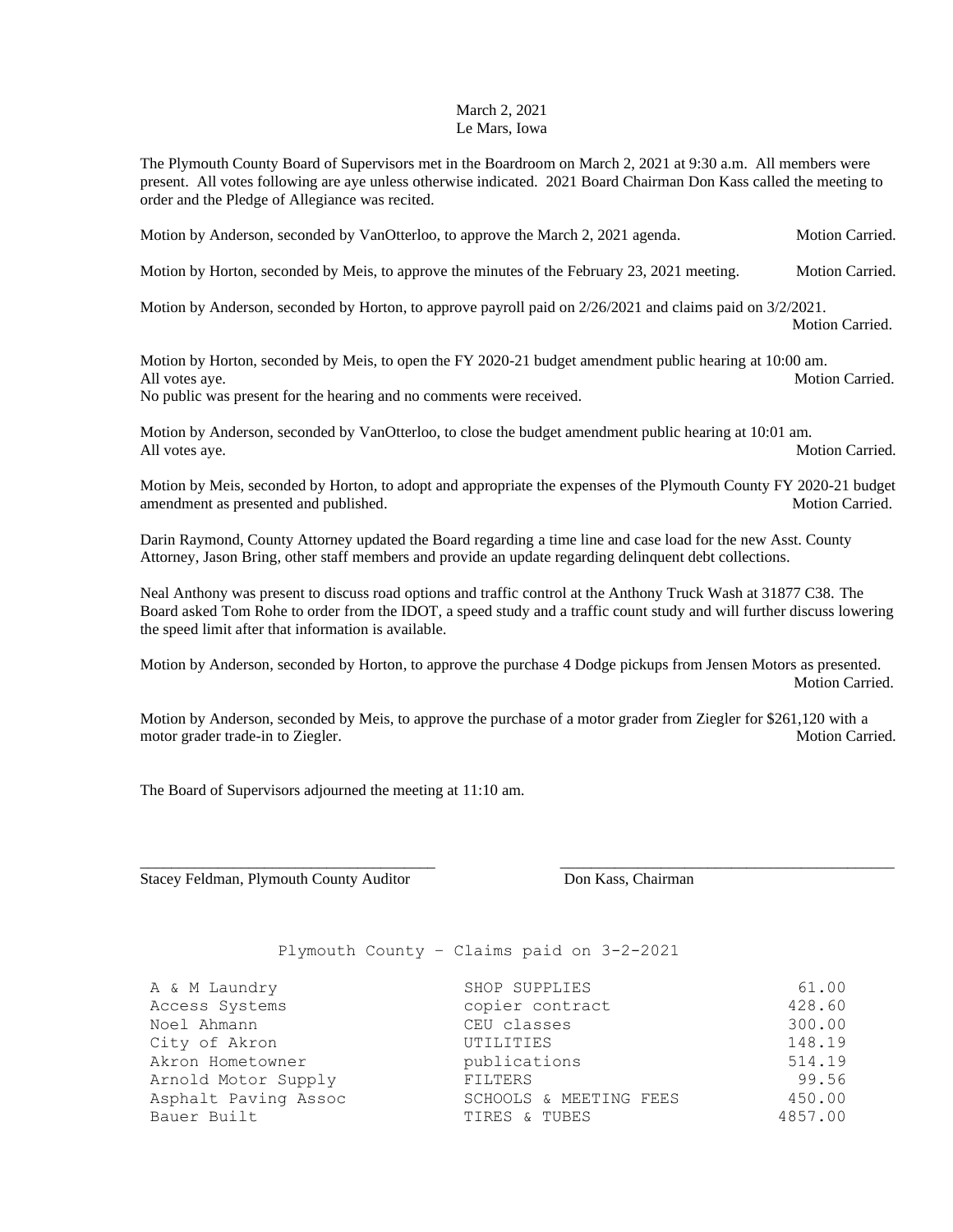## March 2, 2021 Le Mars, Iowa

The Plymouth County Board of Supervisors met in the Boardroom on March 2, 2021 at 9:30 a.m. All members were present. All votes following are aye unless otherwise indicated. 2021 Board Chairman Don Kass called the meeting to order and the Pledge of Allegiance was recited.

Motion by Anderson, seconded by VanOtterloo, to approve the March 2, 2021 agenda. Motion Carried.

Motion by Horton, seconded by Meis, to approve the minutes of the February 23, 2021 meeting. Motion Carried.

Motion by Anderson, seconded by Horton, to approve payroll paid on 2/26/2021 and claims paid on 3/2/2021.

Motion Carried.

Motion by Horton, seconded by Meis, to open the FY 2020-21 budget amendment public hearing at 10:00 am. All votes aye. Motion Carried. No public was present for the hearing and no comments were received.

Motion by Anderson, seconded by VanOtterloo, to close the budget amendment public hearing at 10:01 am. All votes aye. Motion Carried.

Motion by Meis, seconded by Horton, to adopt and appropriate the expenses of the Plymouth County FY 2020-21 budget amendment as presented and published. The matrix of the state of the Motion Carried. Motion Carried.

Darin Raymond, County Attorney updated the Board regarding a time line and case load for the new Asst. County Attorney, Jason Bring, other staff members and provide an update regarding delinquent debt collections.

Neal Anthony was present to discuss road options and traffic control at the Anthony Truck Wash at 31877 C38. The Board asked Tom Rohe to order from the IDOT, a speed study and a traffic count study and will further discuss lowering the speed limit after that information is available.

Motion by Anderson, seconded by Horton, to approve the purchase 4 Dodge pickups from Jensen Motors as presented. Motion Carried.

Motion by Anderson, seconded by Meis, to approve the purchase of a motor grader from Ziegler for \$261,120 with a motor grader trade-in to Ziegler. Notion Carried. Motion Carried.

\_\_\_\_\_\_\_\_\_\_\_\_\_\_\_\_\_\_\_\_\_\_\_\_\_\_\_\_\_\_\_\_\_\_\_\_\_\_ \_\_\_\_\_\_\_\_\_\_\_\_\_\_\_\_\_\_\_\_\_\_\_\_\_\_\_\_\_\_\_\_\_\_\_\_\_\_\_\_\_\_\_

The Board of Supervisors adjourned the meeting at 11:10 am.

Stacey Feldman, Plymouth County Auditor **Don Kass, Chairman** 

Plymouth County – Claims paid on 3-2-2021

| A & M Laundry        | SHOP SUPPLIES          | 61.00   |
|----------------------|------------------------|---------|
| Access Systems       | copier contract        | 428.60  |
| Noel Ahmann          | CEU classes            | 300.00  |
| City of Akron        | UTILITIES              | 148.19  |
| Akron Hometowner     | publications           | 514.19  |
| Arnold Motor Supply  | FILTERS                | 99.56   |
| Asphalt Paving Assoc | SCHOOLS & MEETING FEES | 450.00  |
| Bauer Built          | TIRES & TUBES          | 4857.00 |
|                      |                        |         |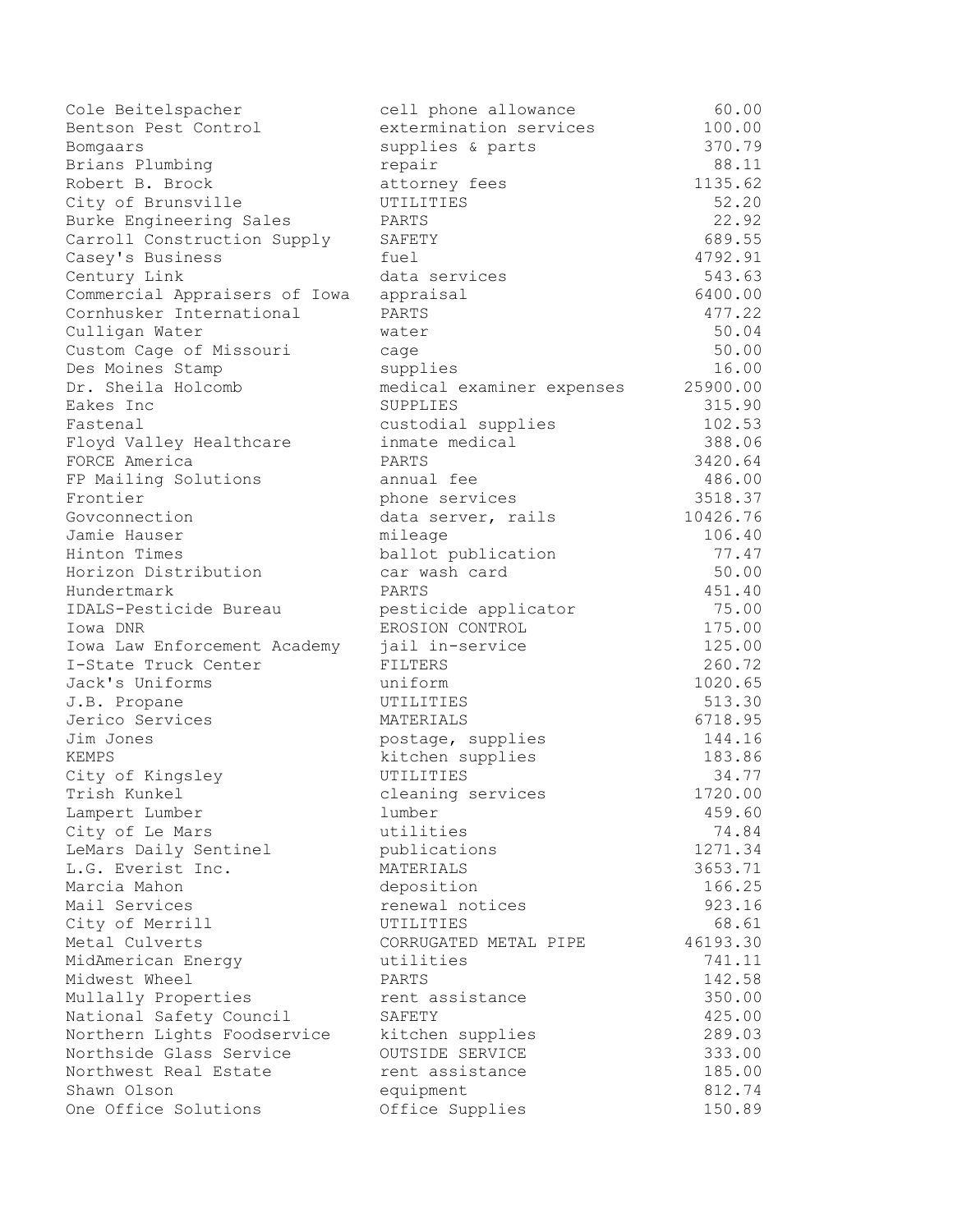| Cole Beitelspacher            | cell phone allowance      | 60.00    |
|-------------------------------|---------------------------|----------|
| Bentson Pest Control          | extermination services    | 100.00   |
| Bomgaars                      | supplies & parts          | 370.79   |
| Brians Plumbing               | repair                    | 88.11    |
| Robert B. Brock               | attorney fees             | 1135.62  |
| City of Brunsville            | UTILITIES                 | 52.20    |
| Burke Engineering Sales       | PARTS                     | 22.92    |
| Carroll Construction Supply   | SAFETY                    | 689.55   |
| Casey's Business              | fuel                      | 4792.91  |
| Century Link                  | data services             | 543.63   |
| Commercial Appraisers of Iowa | appraisal                 | 6400.00  |
| Cornhusker International      | PARTS                     | 477.22   |
| Culligan Water                | water                     | 50.04    |
| Custom Cage of Missouri       | cage                      | 50.00    |
| Des Moines Stamp              | supplies                  | 16.00    |
| Dr. Sheila Holcomb            | medical examiner expenses | 25900.00 |
| Eakes Inc                     | SUPPLIES                  | 315.90   |
| Fastenal                      | custodial supplies        | 102.53   |
| Floyd Valley Healthcare       | inmate medical            | 388.06   |
| FORCE America                 | PARTS                     | 3420.64  |
| FP Mailing Solutions          | annual fee                | 486.00   |
| Frontier                      | phone services            | 3518.37  |
| Govconnection                 | data server, rails        | 10426.76 |
| Jamie Hauser                  | mileage                   | 106.40   |
| Hinton Times                  | ballot publication        | 77.47    |
| Horizon Distribution          | car wash card             | 50.00    |
| Hundertmark                   | PARTS                     | 451.40   |
| IDALS-Pesticide Bureau        | pesticide applicator      | 75.00    |
| Iowa DNR                      | EROSION CONTROL           | 175.00   |
| Iowa Law Enforcement Academy  | jail in-service           | 125.00   |
| I-State Truck Center          | FILTERS                   | 260.72   |
| Jack's Uniforms               | uniform                   | 1020.65  |
| J.B. Propane                  | UTILITIES                 | 513.30   |
| Jerico Services               | MATERIALS                 | 6718.95  |
| Jim Jones                     | postage, supplies         | 144.16   |
| KEMPS                         | kitchen supplies          | 183.86   |
| City of Kingsley              | UTILITIES                 | 34.77    |
| Trish Kunkel                  | cleaning services         | 1720.00  |
| Lampert Lumber                | lumber                    | 459.60   |
| City of Le Mars               | utilities                 | 74.84    |
| LeMars Daily Sentinel         | publications              | 1271.34  |
| L.G. Everist Inc.             | MATERIALS                 | 3653.71  |
| Marcia Mahon                  | deposition                | 166.25   |
| Mail Services                 | renewal notices           | 923.16   |
| City of Merrill               | UTILITIES                 | 68.61    |
| Metal Culverts                | CORRUGATED METAL PIPE     | 46193.30 |
| MidAmerican Energy            | utilities                 | 741.11   |
| Midwest Wheel                 | PARTS                     | 142.58   |
|                               | rent assistance           | 350.00   |
| Mullally Properties           | SAFETY                    |          |
| National Safety Council       |                           | 425.00   |
| Northern Lights Foodservice   | kitchen supplies          | 289.03   |
| Northside Glass Service       | OUTSIDE SERVICE           | 333.00   |
| Northwest Real Estate         | rent assistance           | 185.00   |
| Shawn Olson                   | equipment                 | 812.74   |
| One Office Solutions          | Office Supplies           | 150.89   |

| l phone allowance            | 60.00             |
|------------------------------|-------------------|
| ermination services          | 100.00            |
| plies & parts                | 370.79            |
| air                          | 88.11             |
| orney fees                   | 1135.62           |
| LITIES                       | 52.20             |
| <b>TS</b>                    | 22.92             |
| 'ETY                         | 689.55            |
| ιś                           | 4792.91           |
| a services                   | 543.63            |
| raisal                       | 6400.00           |
| <b>TS</b>                    | 477.22            |
| er                           | 50.04             |
| ſе                           | 50.00             |
| plies                        | 16.00             |
| lical examiner expenses      | 25900.00          |
| PLIES                        | 315.90            |
| todial supplies              | 102.53            |
| ate medical                  | 388.06            |
| <b>TS</b>                    | 3420.64           |
| ual fee                      | 486.00            |
| ne services                  | 3518.37           |
| a server, rails:             | 10426.76          |
| eage<br>lot publication      | 106.40<br>77.47   |
| wash card :                  | 50.00             |
| <b>TS</b>                    | 451.40            |
| ticide applicator            | 75.00             |
| SION CONTROL                 | 175.00            |
| 1 in-service                 | 125.00            |
| <b>.TERS</b>                 | 260.72            |
| form                         | 1020.65           |
| LITIES                       | 513.30            |
| <b>ERIALS</b>                | 6718.95           |
| tage, supplies               | 144.16            |
| chen supplies                | 183.86            |
| LITIES                       | 34.77             |
| aning services               | 1720.00           |
| ıber                         | 459.60            |
| lities                       | 74.84             |
| lications                    | 1271.34           |
| <b>ERIALS</b>                | 3653.71           |
| osition                      | 166.25            |
| ewal notices                 | 923.16            |
| LITIES<br>RUGATED METAL PIPE | 68.61<br>46193.30 |
| lities                       | 741.11            |
| <b>TS</b>                    | 142.58            |
| t assistance                 | 350.00            |
| <b>ETY</b>                   | 425.00            |
| chen supplies                | 289.03            |
| SIDE SERVICE                 | 333.00            |
| ıt assistance                | 185.00            |
| iipment                      | 812.74            |
| ice Supplies                 | 150.89            |
|                              |                   |